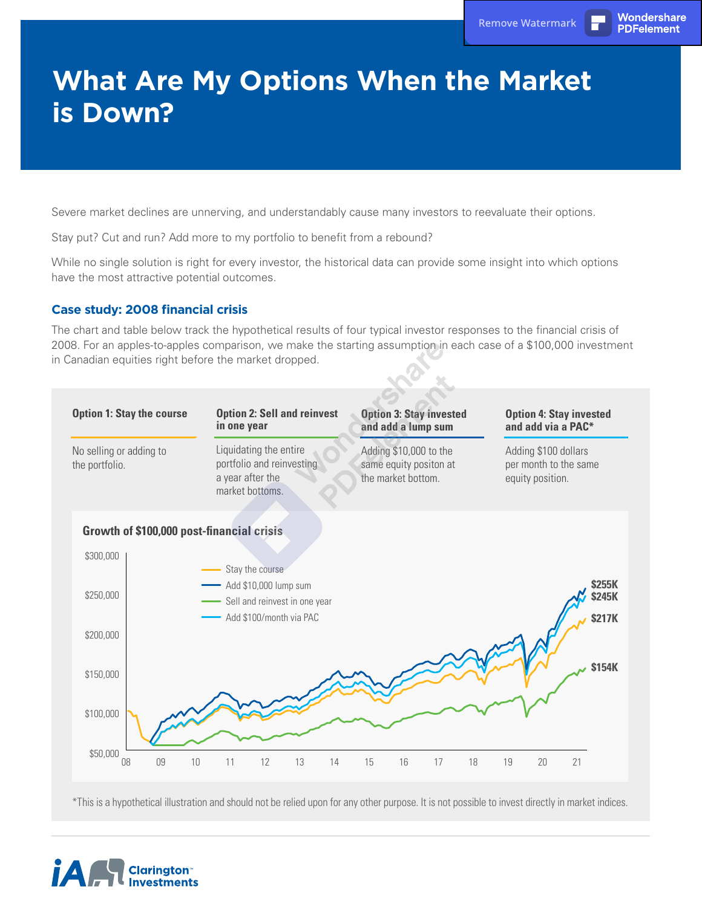PDFelement

## **What Are My Options When the Market is Down?**

Severe market declines are unnerving, and understandably cause many investors to reevaluate their options.

Stay put? Cut and run? Add more to my portfolio to benefit from a rebound?

While no single solution is right for every investor, the historical data can provide some insight into which options have the most attractive potential outcomes.

## **Case study: 2008 financial crisis**

The chart and table below track the hypothetical results of four typical investor responses to the financial crisis of 2008. For an apples-to-apples comparison, we make the starting assumption in each case of a \$100,000 investment in Canadian equities right before the market dropped.



\*This is a hypothetical illustration and should not be relied upon for any other purpose. It is not possible to invest directly in market indices.